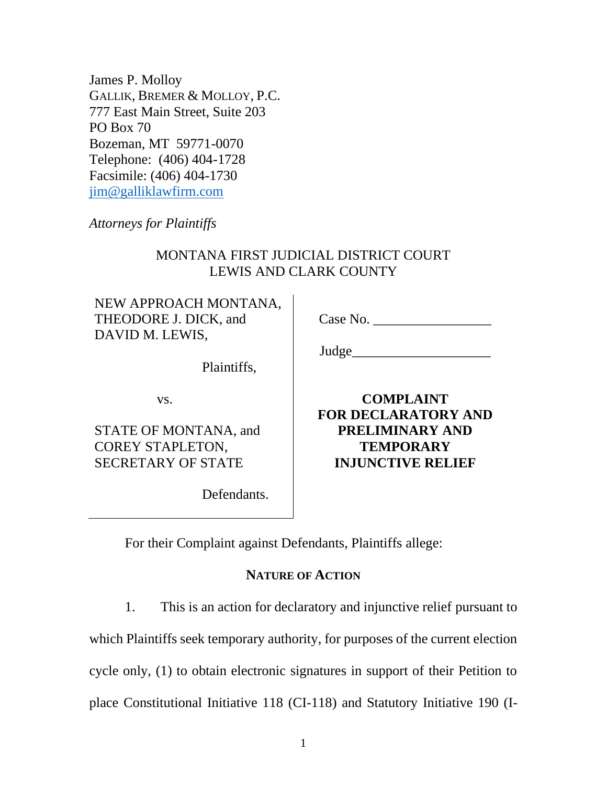James P. Molloy GALLIK, BREMER & MOLLOY, P.C. 777 East Main Street, Suite 203 PO Box 70 Bozeman, MT 59771-0070 Telephone: (406) 404-1728 Facsimile: (406) 404-1730 [jim@galliklawfirm.com](mailto:jim@galliklawfirm.com)

*Attorneys for Plaintiffs*

# MONTANA FIRST JUDICIAL DISTRICT COURT LEWIS AND CLARK COUNTY

NEW APPROACH MONTANA, THEODORE J. DICK, and DAVID M. LEWIS,

Case No.

Judge

Plaintiffs,

vs.

STATE OF MONTANA, and COREY STAPLETON, SECRETARY OF STATE

Defendants.

**COMPLAINT FOR DECLARATORY AND PRELIMINARY AND TEMPORARY INJUNCTIVE RELIEF**

For their Complaint against Defendants, Plaintiffs allege:

## **NATURE OF ACTION**

1. This is an action for declaratory and injunctive relief pursuant to

which Plaintiffs seek temporary authority, for purposes of the current election

cycle only, (1) to obtain electronic signatures in support of their Petition to

place Constitutional Initiative 118 (CI-118) and Statutory Initiative 190 (I-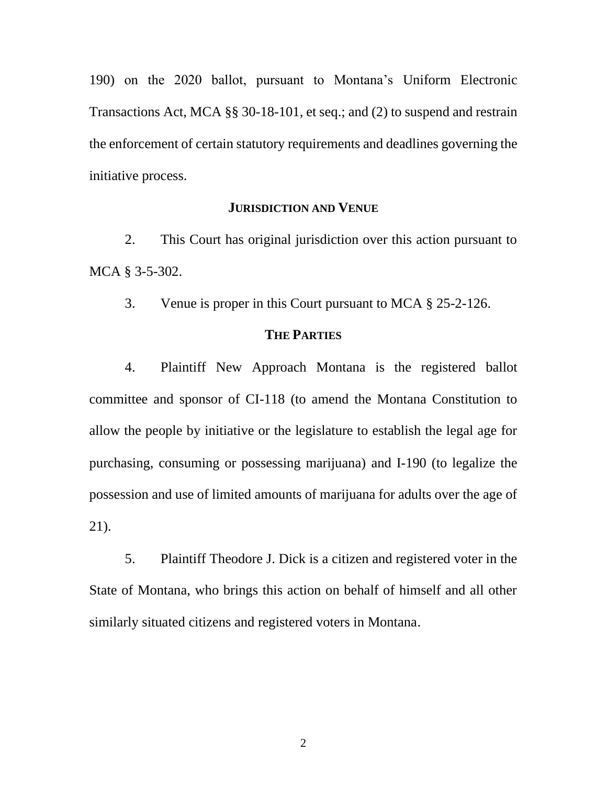190) on the 2020 ballot, pursuant to Montana's Uniform Electronic Transactions Act, MCA §§ 30-18-101, et seq.; and (2) to suspend and restrain the enforcement of certain statutory requirements and deadlines governing the initiative process.

#### **JURISDICTION AND VENUE**

2. This Court has original jurisdiction over this action pursuant to MCA § 3-5-302.

3. Venue is proper in this Court pursuant to MCA § 25-2-126.

#### **THE PARTIES**

4. Plaintiff New Approach Montana is the registered ballot committee and sponsor of CI-118 (to amend the Montana Constitution to allow the people by initiative or the legislature to establish the legal age for purchasing, consuming or possessing marijuana) and I-190 (to legalize the possession and use of limited amounts of marijuana for adults over the age of 21).

5. Plaintiff Theodore J. Dick is a citizen and registered voter in the State of Montana, who brings this action on behalf of himself and all other similarly situated citizens and registered voters in Montana.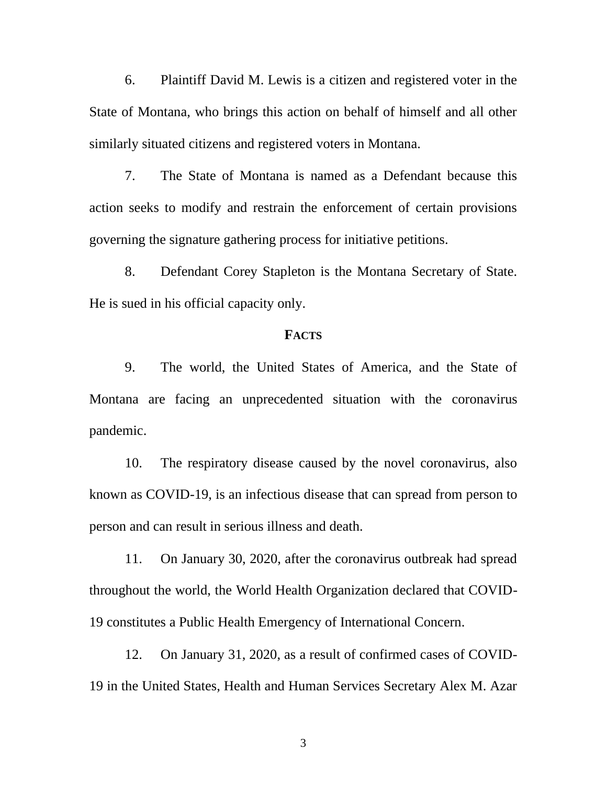6. Plaintiff David M. Lewis is a citizen and registered voter in the State of Montana, who brings this action on behalf of himself and all other similarly situated citizens and registered voters in Montana.

7. The State of Montana is named as a Defendant because this action seeks to modify and restrain the enforcement of certain provisions governing the signature gathering process for initiative petitions.

8. Defendant Corey Stapleton is the Montana Secretary of State. He is sued in his official capacity only.

#### **FACTS**

9. The world, the United States of America, and the State of Montana are facing an unprecedented situation with the coronavirus pandemic.

10. The respiratory disease caused by the novel coronavirus, also known as COVID-19, is an infectious disease that can spread from person to person and can result in serious illness and death.

11. On January 30, 2020, after the coronavirus outbreak had spread throughout the world, the World Health Organization declared that COVID-19 constitutes a Public Health Emergency of International Concern.

12. On January 31, 2020, as a result of confirmed cases of COVID-19 in the United States, Health and Human Services Secretary Alex M. Azar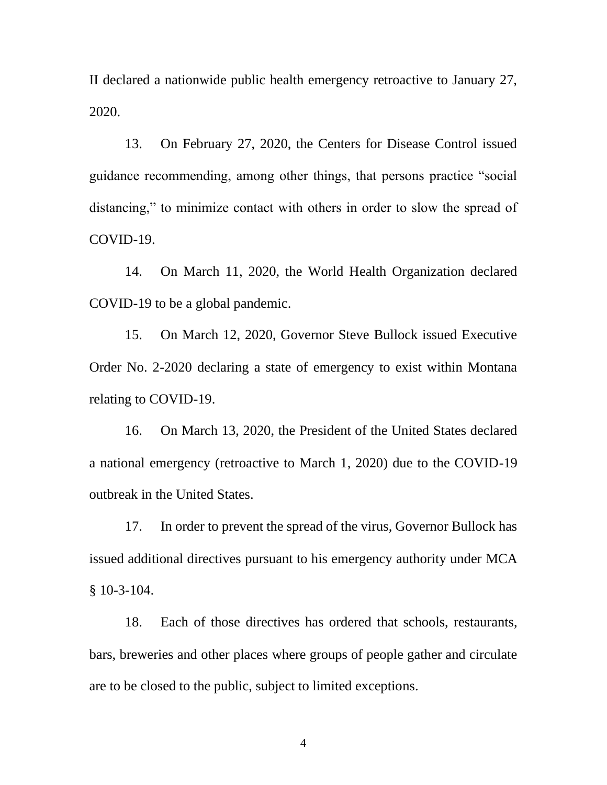II declared a nationwide public health emergency retroactive to January 27, 2020.

13. On February 27, 2020, the Centers for Disease Control issued guidance recommending, among other things, that persons practice "social distancing," to minimize contact with others in order to slow the spread of COVID-19.

14. On March 11, 2020, the World Health Organization declared COVID-19 to be a global pandemic.

15. On March 12, 2020, Governor Steve Bullock issued Executive Order No. 2-2020 declaring a state of emergency to exist within Montana relating to COVID-19.

16. On March 13, 2020, the President of the United States declared a national emergency (retroactive to March 1, 2020) due to the COVID-19 outbreak in the United States.

17. In order to prevent the spread of the virus, Governor Bullock has issued additional directives pursuant to his emergency authority under MCA § 10-3-104.

18. Each of those directives has ordered that schools, restaurants, bars, breweries and other places where groups of people gather and circulate are to be closed to the public, subject to limited exceptions.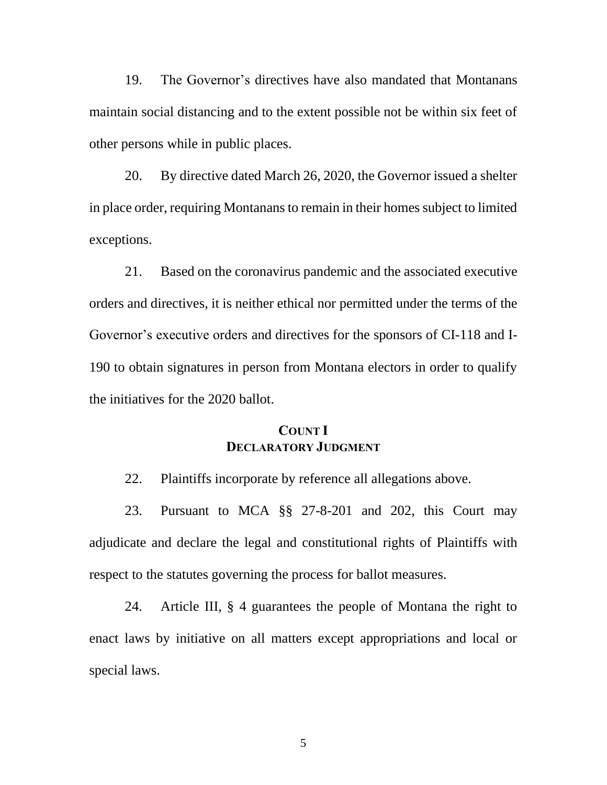19. The Governor's directives have also mandated that Montanans maintain social distancing and to the extent possible not be within six feet of other persons while in public places.

20. By directive dated March 26, 2020, the Governor issued a shelter in place order, requiring Montanans to remain in their homes subject to limited exceptions.

21. Based on the coronavirus pandemic and the associated executive orders and directives, it is neither ethical nor permitted under the terms of the Governor's executive orders and directives for the sponsors of CI-118 and I-190 to obtain signatures in person from Montana electors in order to qualify the initiatives for the 2020 ballot.

### **COUNT I DECLARATORY JUDGMENT**

22. Plaintiffs incorporate by reference all allegations above.

23. Pursuant to MCA §§ 27-8-201 and 202, this Court may adjudicate and declare the legal and constitutional rights of Plaintiffs with respect to the statutes governing the process for ballot measures.

24. Article III, § 4 guarantees the people of Montana the right to enact laws by initiative on all matters except appropriations and local or special laws.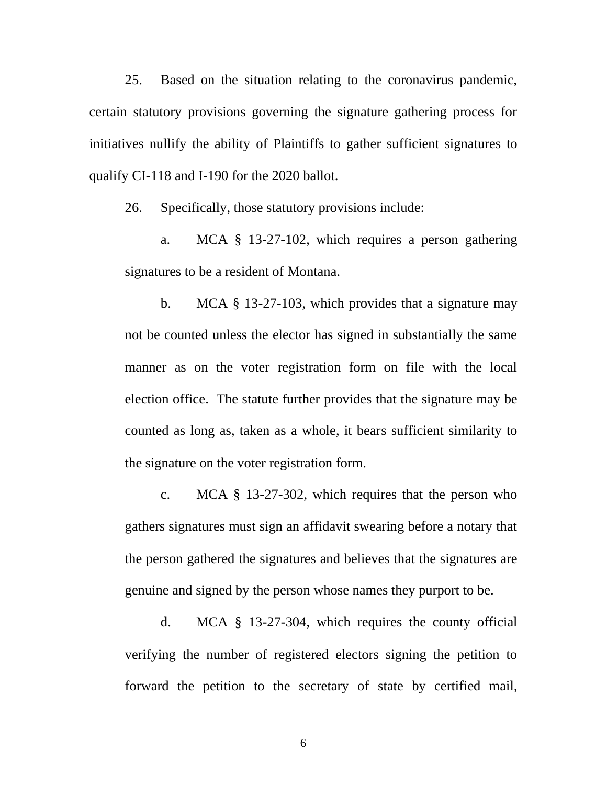25. Based on the situation relating to the coronavirus pandemic, certain statutory provisions governing the signature gathering process for initiatives nullify the ability of Plaintiffs to gather sufficient signatures to qualify CI-118 and I-190 for the 2020 ballot.

26. Specifically, those statutory provisions include:

a. MCA § 13-27-102, which requires a person gathering signatures to be a resident of Montana.

b. MCA § 13-27-103, which provides that a signature may not be counted unless the elector has signed in substantially the same manner as on the voter registration form on file with the local election office. The statute further provides that the signature may be counted as long as, taken as a whole, it bears sufficient similarity to the signature on the voter registration form.

c. MCA § 13-27-302, which requires that the person who gathers signatures must sign an affidavit swearing before a notary that the person gathered the signatures and believes that the signatures are genuine and signed by the person whose names they purport to be.

d. MCA § 13-27-304, which requires the county official verifying the number of registered electors signing the petition to forward the petition to the secretary of state by certified mail,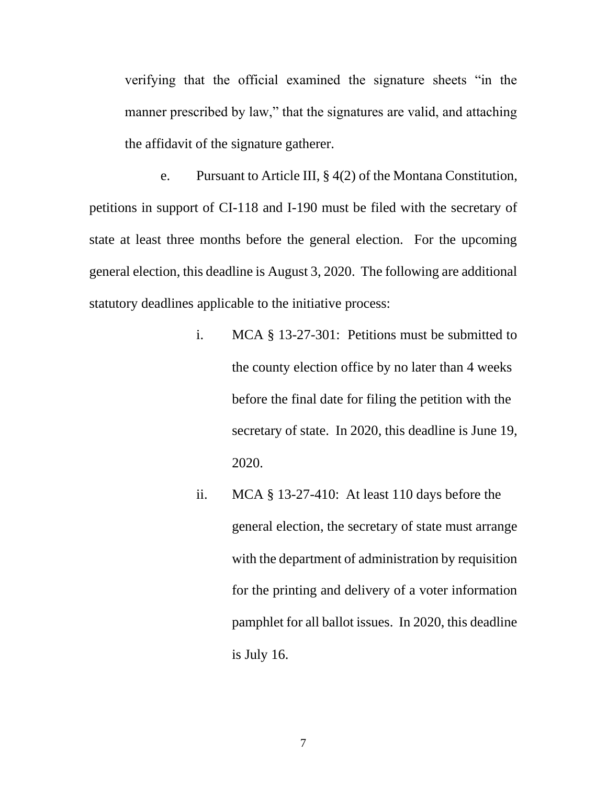verifying that the official examined the signature sheets "in the manner prescribed by law," that the signatures are valid, and attaching the affidavit of the signature gatherer.

e. Pursuant to Article III, § 4(2) of the Montana Constitution, petitions in support of CI-118 and I-190 must be filed with the secretary of state at least three months before the general election. For the upcoming general election, this deadline is August 3, 2020. The following are additional statutory deadlines applicable to the initiative process:

- i. MCA § 13-27-301: Petitions must be submitted to the county election office by no later than 4 weeks before the final date for filing the petition with the secretary of state. In 2020, this deadline is June 19, 2020.
- ii. MCA § 13-27-410: At least 110 days before the general election, the secretary of state must arrange with the department of administration by requisition for the printing and delivery of a voter information pamphlet for all ballot issues. In 2020, this deadline is July 16.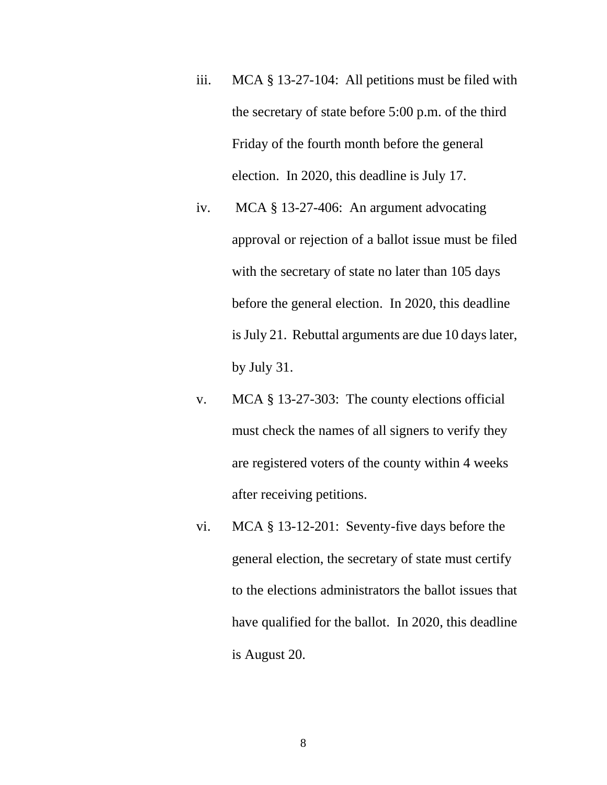- iii. MCA § 13-27-104: All petitions must be filed with the secretary of state before 5:00 p.m. of the third Friday of the fourth month before the general election. In 2020, this deadline is July 17.
- iv. MCA § 13-27-406: An argument advocating approval or rejection of a ballot issue must be filed with the secretary of state no later than 105 days before the general election. In 2020, this deadline is July 21. Rebuttal arguments are due 10 days later, by July 31.
- v. MCA § 13-27-303: The county elections official must check the names of all signers to verify they are registered voters of the county within 4 weeks after receiving petitions.
- vi. MCA § 13-12-201: Seventy-five days before the general election, the secretary of state must certify to the elections administrators the ballot issues that have qualified for the ballot. In 2020, this deadline is August 20.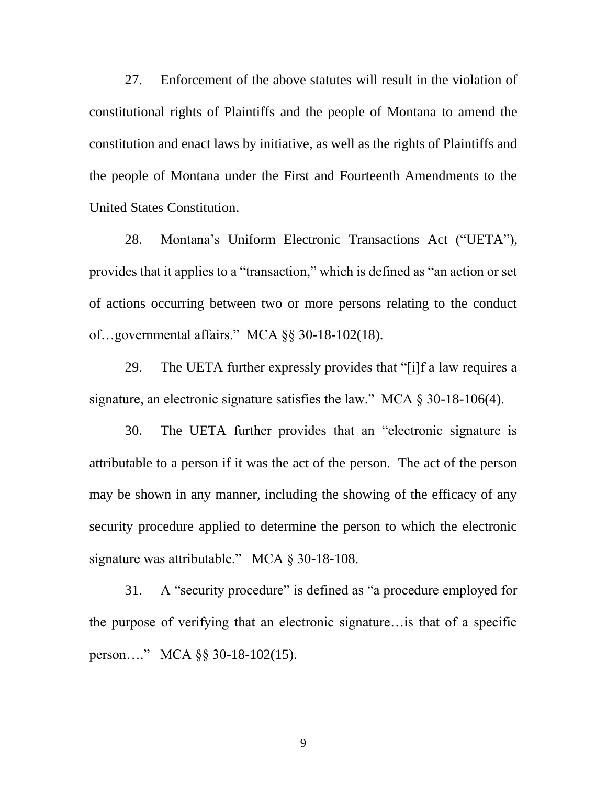27. Enforcement of the above statutes will result in the violation of constitutional rights of Plaintiffs and the people of Montana to amend the constitution and enact laws by initiative, as well as the rights of Plaintiffs and the people of Montana under the First and Fourteenth Amendments to the United States Constitution.

28. Montana's Uniform Electronic Transactions Act ("UETA"), provides that it applies to a "transaction," which is defined as "an action or set of actions occurring between two or more persons relating to the conduct of…governmental affairs." MCA §§ 30-18-102(18).

29. The UETA further expressly provides that "[i]f a law requires a signature, an electronic signature satisfies the law." MCA § 30-18-106(4).

30. The UETA further provides that an "electronic signature is attributable to a person if it was the act of the person. The act of the person may be shown in any manner, including the showing of the efficacy of any security procedure applied to determine the person to which the electronic signature was attributable." MCA § 30-18-108.

31. A "security procedure" is defined as "a procedure employed for the purpose of verifying that an electronic signature…is that of a specific person…." MCA §§ 30-18-102(15).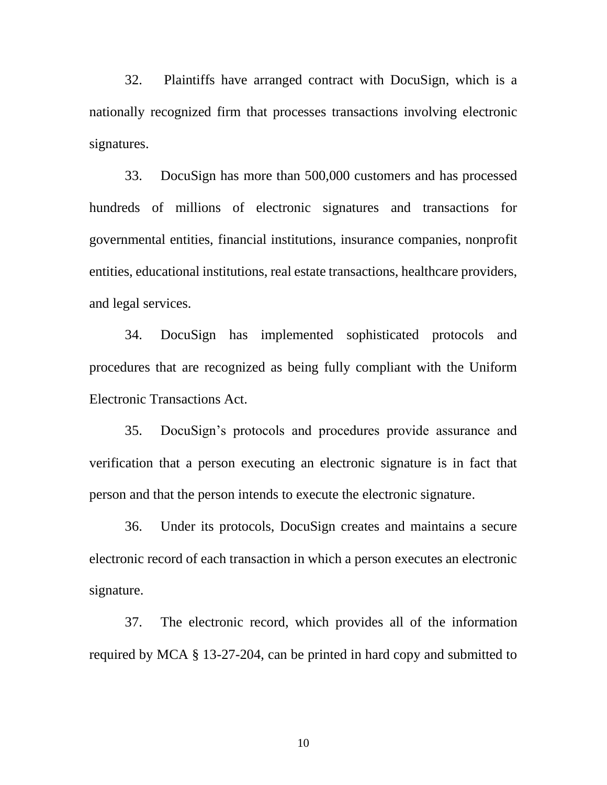32. Plaintiffs have arranged contract with DocuSign, which is a nationally recognized firm that processes transactions involving electronic signatures.

33. DocuSign has more than 500,000 customers and has processed hundreds of millions of electronic signatures and transactions for governmental entities, financial institutions, insurance companies, nonprofit entities, educational institutions, real estate transactions, healthcare providers, and legal services.

34. DocuSign has implemented sophisticated protocols and procedures that are recognized as being fully compliant with the Uniform Electronic Transactions Act.

35. DocuSign's protocols and procedures provide assurance and verification that a person executing an electronic signature is in fact that person and that the person intends to execute the electronic signature.

36. Under its protocols, DocuSign creates and maintains a secure electronic record of each transaction in which a person executes an electronic signature.

37. The electronic record, which provides all of the information required by MCA § 13-27-204, can be printed in hard copy and submitted to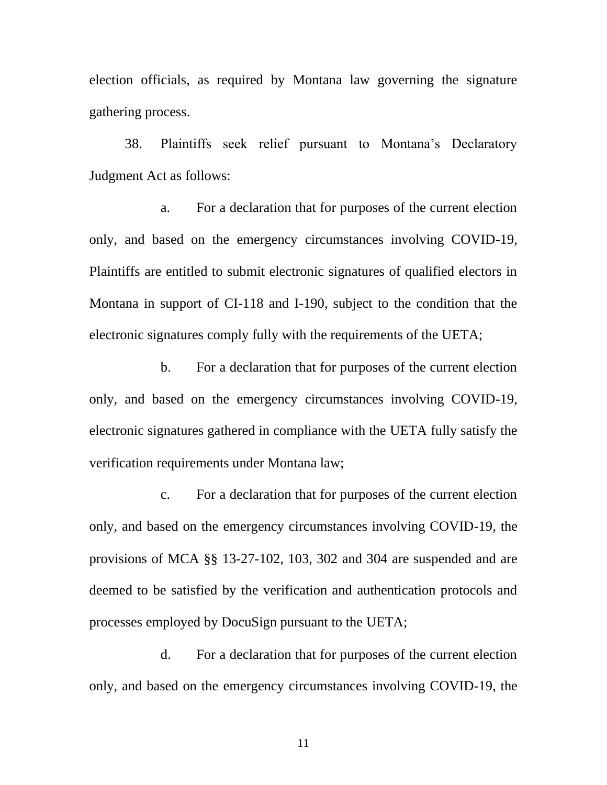election officials, as required by Montana law governing the signature gathering process.

38. Plaintiffs seek relief pursuant to Montana's Declaratory Judgment Act as follows:

a. For a declaration that for purposes of the current election only, and based on the emergency circumstances involving COVID-19, Plaintiffs are entitled to submit electronic signatures of qualified electors in Montana in support of CI-118 and I-190, subject to the condition that the electronic signatures comply fully with the requirements of the UETA;

b. For a declaration that for purposes of the current election only, and based on the emergency circumstances involving COVID-19, electronic signatures gathered in compliance with the UETA fully satisfy the verification requirements under Montana law;

c. For a declaration that for purposes of the current election only, and based on the emergency circumstances involving COVID-19, the provisions of MCA §§ 13-27-102, 103, 302 and 304 are suspended and are deemed to be satisfied by the verification and authentication protocols and processes employed by DocuSign pursuant to the UETA;

d. For a declaration that for purposes of the current election only, and based on the emergency circumstances involving COVID-19, the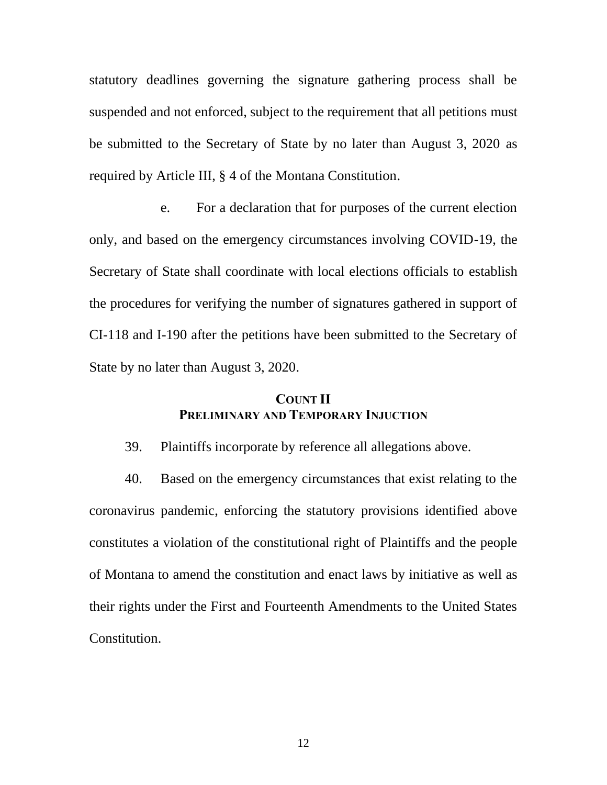statutory deadlines governing the signature gathering process shall be suspended and not enforced, subject to the requirement that all petitions must be submitted to the Secretary of State by no later than August 3, 2020 as required by Article III, § 4 of the Montana Constitution.

e. For a declaration that for purposes of the current election only, and based on the emergency circumstances involving COVID-19, the Secretary of State shall coordinate with local elections officials to establish the procedures for verifying the number of signatures gathered in support of CI-118 and I-190 after the petitions have been submitted to the Secretary of State by no later than August 3, 2020.

## **COUNT II PRELIMINARY AND TEMPORARY INJUCTION**

39. Plaintiffs incorporate by reference all allegations above.

40. Based on the emergency circumstances that exist relating to the coronavirus pandemic, enforcing the statutory provisions identified above constitutes a violation of the constitutional right of Plaintiffs and the people of Montana to amend the constitution and enact laws by initiative as well as their rights under the First and Fourteenth Amendments to the United States Constitution.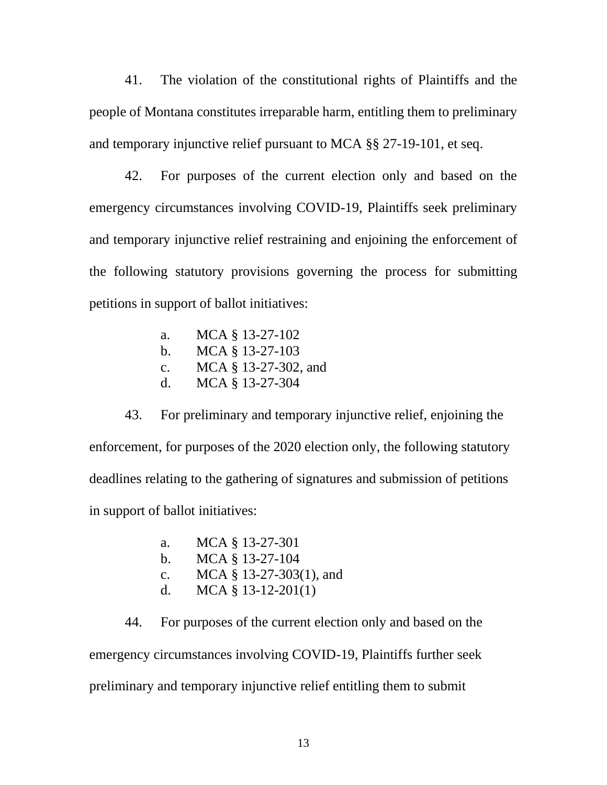41. The violation of the constitutional rights of Plaintiffs and the people of Montana constitutes irreparable harm, entitling them to preliminary and temporary injunctive relief pursuant to MCA §§ 27-19-101, et seq.

42. For purposes of the current election only and based on the emergency circumstances involving COVID-19, Plaintiffs seek preliminary and temporary injunctive relief restraining and enjoining the enforcement of the following statutory provisions governing the process for submitting petitions in support of ballot initiatives:

> a. MCA § 13-27-102 b. MCA § 13-27-103 c. MCA § 13-27-302, and d. MCA § 13-27-304

43. For preliminary and temporary injunctive relief, enjoining the enforcement, for purposes of the 2020 election only, the following statutory deadlines relating to the gathering of signatures and submission of petitions in support of ballot initiatives:

> a. MCA § 13-27-301 b. MCA § 13-27-104 c. MCA § 13-27-303(1), and d. MCA § 13-12-201(1)

44. For purposes of the current election only and based on the emergency circumstances involving COVID-19, Plaintiffs further seek preliminary and temporary injunctive relief entitling them to submit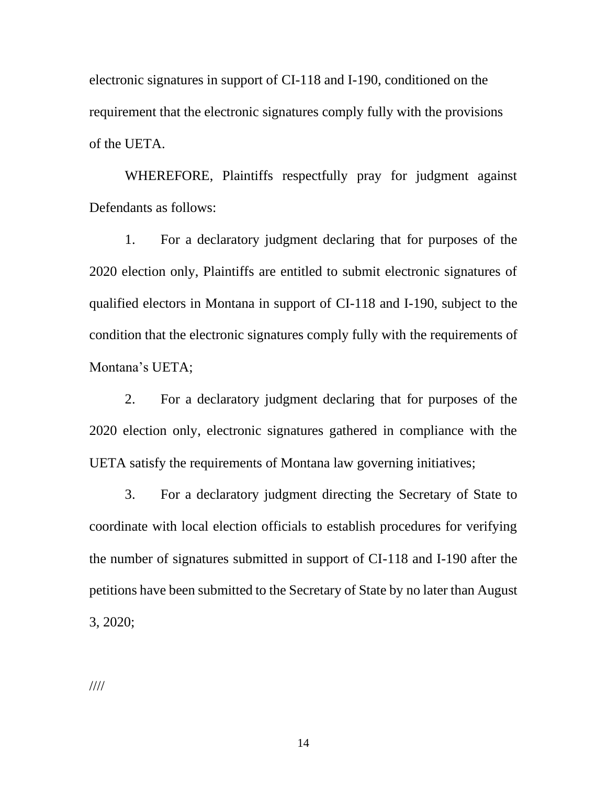electronic signatures in support of CI-118 and I-190, conditioned on the requirement that the electronic signatures comply fully with the provisions of the UETA.

WHEREFORE, Plaintiffs respectfully pray for judgment against Defendants as follows:

1. For a declaratory judgment declaring that for purposes of the 2020 election only, Plaintiffs are entitled to submit electronic signatures of qualified electors in Montana in support of CI-118 and I-190, subject to the condition that the electronic signatures comply fully with the requirements of Montana's UETA;

2. For a declaratory judgment declaring that for purposes of the 2020 election only, electronic signatures gathered in compliance with the UETA satisfy the requirements of Montana law governing initiatives;

3. For a declaratory judgment directing the Secretary of State to coordinate with local election officials to establish procedures for verifying the number of signatures submitted in support of CI-118 and I-190 after the petitions have been submitted to the Secretary of State by no later than August 3, 2020;

////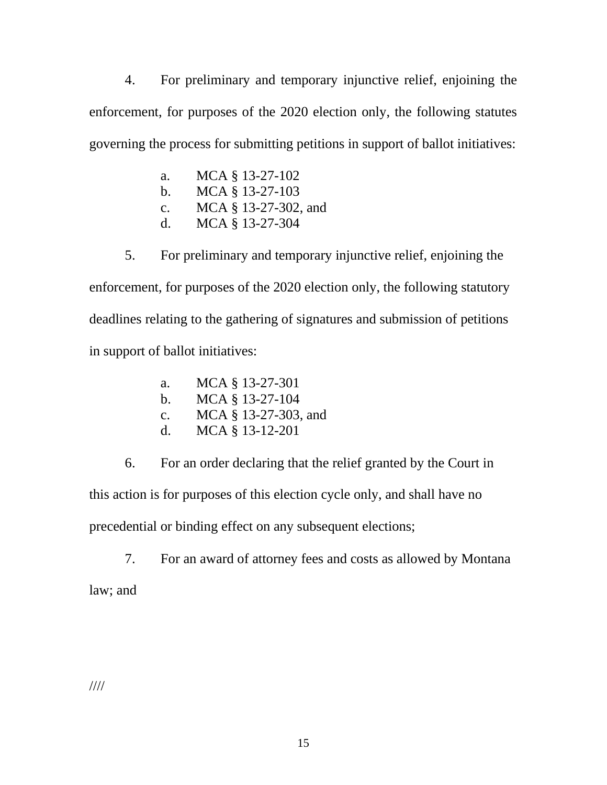4. For preliminary and temporary injunctive relief, enjoining the enforcement, for purposes of the 2020 election only, the following statutes governing the process for submitting petitions in support of ballot initiatives:

- a. MCA § 13-27-102 b. MCA § 13-27-103 c. MCA § 13-27-302, and
- d. MCA § 13-27-304

5. For preliminary and temporary injunctive relief, enjoining the enforcement, for purposes of the 2020 election only, the following statutory deadlines relating to the gathering of signatures and submission of petitions in support of ballot initiatives:

- a. MCA § 13-27-301
- b. MCA § 13-27-104
- c. MCA § 13-27-303, and
- d. MCA § 13-12-201

6. For an order declaring that the relief granted by the Court in this action is for purposes of this election cycle only, and shall have no precedential or binding effect on any subsequent elections;

7. For an award of attorney fees and costs as allowed by Montana

law; and

////